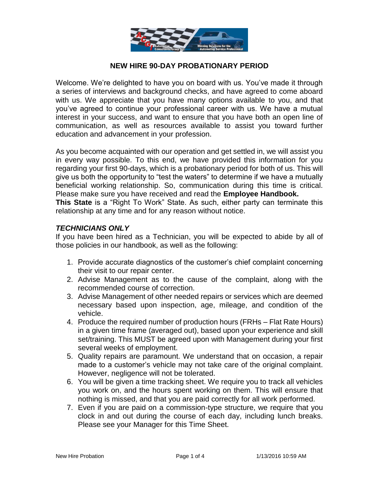

# **NEW HIRE 90-DAY PROBATIONARY PERIOD**

Welcome. We're delighted to have you on board with us. You've made it through a series of interviews and background checks, and have agreed to come aboard with us. We appreciate that you have many options available to you, and that you've agreed to continue your professional career with us. We have a mutual interest in your success, and want to ensure that you have both an open line of communication, as well as resources available to assist you toward further education and advancement in your profession.

As you become acquainted with our operation and get settled in, we will assist you in every way possible. To this end, we have provided this information for you regarding your first 90-days, which is a probationary period for both of us. This will give us both the opportunity to "test the waters" to determine if we have a mutually beneficial working relationship. So, communication during this time is critical. Please make sure you have received and read the **Employee Handbook.**

**This State** is a "Right To Work" State. As such, either party can terminate this relationship at any time and for any reason without notice.

#### *TECHNICIANS ONLY*

If you have been hired as a Technician, you will be expected to abide by all of those policies in our handbook, as well as the following:

- 1. Provide accurate diagnostics of the customer's chief complaint concerning their visit to our repair center.
- 2. Advise Management as to the cause of the complaint, along with the recommended course of correction.
- 3. Advise Management of other needed repairs or services which are deemed necessary based upon inspection, age, mileage, and condition of the vehicle.
- 4. Produce the required number of production hours (FRHs Flat Rate Hours) in a given time frame (averaged out), based upon your experience and skill set/training. This MUST be agreed upon with Management during your first several weeks of employment.
- 5. Quality repairs are paramount. We understand that on occasion, a repair made to a customer's vehicle may not take care of the original complaint. However, negligence will not be tolerated.
- 6. You will be given a time tracking sheet. We require you to track all vehicles you work on, and the hours spent working on them. This will ensure that nothing is missed, and that you are paid correctly for all work performed.
- 7. Even if you are paid on a commission-type structure, we require that you clock in and out during the course of each day, including lunch breaks. Please see your Manager for this Time Sheet.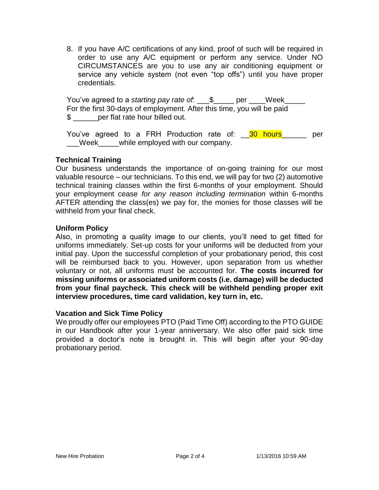8. If you have A/C certifications of any kind, proof of such will be required in order to use any A/C equipment or perform any service. Under NO CIRCUMSTANCES are you to use any air conditioning equipment or service any vehicle system (not even "top offs") until you have proper credentials.

You've agreed to a *starting pay rate of*: \_\_\_\$\_\_\_\_\_ per \_\_\_\_Week\_\_\_\_\_ For the first 30-days of employment. After this time, you will be paid \$ per flat rate hour billed out.

You've agreed to a FRH Production rate of: \_\_30 hours\_\_\_\_\_\_ per \_\_\_Week\_\_\_\_\_while employed with our company.

## **Technical Training**

Our business understands the importance of on-going training for our most valuable resource – our technicians. To this end, we will pay for two (2) automotive technical training classes within the first 6-months of your employment. Should your employment cease *for any reason including termination* within 6-months AFTER attending the class(es) we pay for, the monies for those classes will be withheld from your final check.

## **Uniform Policy**

Also, in promoting a quality image to our clients, you'll need to get fitted for uniforms immediately. Set-up costs for your uniforms will be deducted from your initial pay. Upon the successful completion of your probationary period, this cost will be reimbursed back to you. However, upon separation from us whether voluntary or not, all uniforms must be accounted for. **The costs incurred for missing uniforms or associated uniform costs (i.e. damage) will be deducted from your final paycheck. This check will be withheld pending proper exit interview procedures, time card validation, key turn in, etc.**

## **Vacation and Sick Time Policy**

We proudly offer our employees PTO (Paid Time Off) according to the PTO GUIDE in our Handbook after your 1-year anniversary. We also offer paid sick time provided a doctor's note is brought in. This will begin after your 90-day probationary period.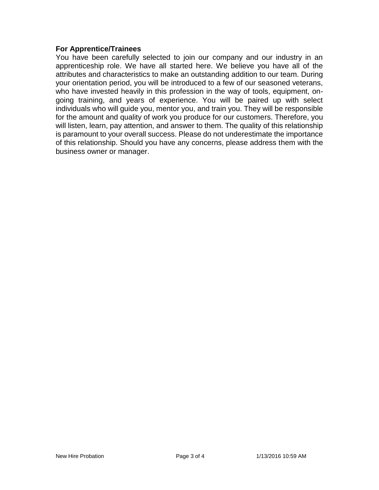#### **For Apprentice/Trainees**

You have been carefully selected to join our company and our industry in an apprenticeship role. We have all started here. We believe you have all of the attributes and characteristics to make an outstanding addition to our team. During your orientation period, you will be introduced to a few of our seasoned veterans, who have invested heavily in this profession in the way of tools, equipment, ongoing training, and years of experience. You will be paired up with select individuals who will guide you, mentor you, and train you. They will be responsible for the amount and quality of work you produce for our customers. Therefore, you will listen, learn, pay attention, and answer to them. The quality of this relationship is paramount to your overall success. Please do not underestimate the importance of this relationship. Should you have any concerns, please address them with the business owner or manager.